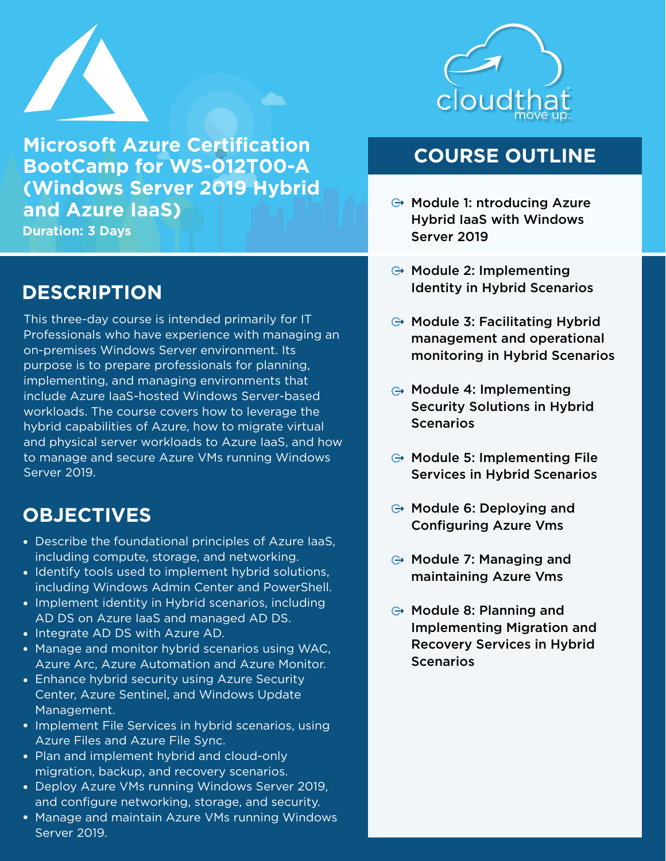

**Microsoft Azure Certification BootCamp for WS-012T00-A (Windows Server 2019 Hybrid and Azure IaaS) Duration: 3 Days**

## **DESCRIPTION**

This three-day course is intended primarily for IT Professionals who have experience with managing an on-premises Windows Server environment. Its purpose is to prepare professionals for planning, implementing, and managing environments that include Azure IaaS-hosted Windows Server-based workloads. The course covers how to leverage the hybrid capabilities of Azure, how to migrate virtual and physical server workloads to Azure IaaS, and how to manage and secure Azure VMs running Windows Server 2019.

# **OBJECTIVES**

- Describe the foundational principles of Azure IaaS, including compute, storage, and networking.
- Identify tools used to implement hybrid solutions, including Windows Admin Center and PowerShell.
- Implement identity in Hybrid scenarios, including AD DS on Azure IaaS and managed AD DS.
- Integrate AD DS with Azure AD.
- Manage and monitor hybrid scenarios using WAC, Azure Arc, Azure Automation and Azure Monitor.
- Enhance hybrid security using Azure Security Center, Azure Sentinel, and Windows Update Management.
- Implement File Services in hybrid scenarios, using Azure Files and Azure File Sync.
- Plan and implement hybrid and cloud-only migration, backup, and recovery scenarios.
- Deploy Azure VMs running Windows Server 2019, and configure networking, storage, and security.
- Manage and maintain Azure VMs running Windows Server 2019.



## **COURSE OUTLINE**

- $\ominus$  Module 1: ntroducing Azure Hybrid IaaS with Windows Server 2019
- $\ominus$  Module 2: Implementing Identity in Hybrid Scenarios
- $\ominus$  Module 3: Facilitating Hybrid management and operational monitoring in Hybrid Scenarios
- **⊕ Module 4: Implementing** Security Solutions in Hybrid **Scenarios**
- $\ominus$  Module 5: Implementing File Services in Hybrid Scenarios
- $\ominus$  Module 6: Deploying and Configuring Azure Vms
- $\ominus$  Module 7: Managing and maintaining Azure Vms
- $\ominus$  Module 8: Planning and Implementing Migration and Recovery Services in Hybrid **Scenarios**